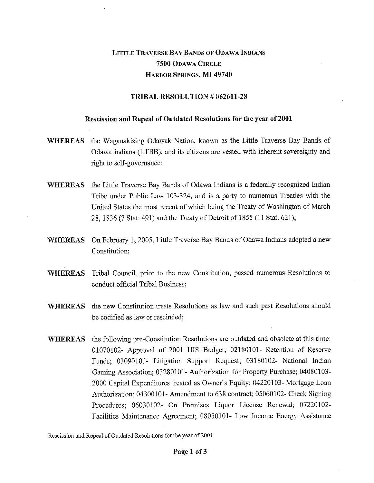## LITTLE TRAVERSE BAY BANDS OF ODAWA INDIANS **7500** ODAWA CIRCLE HARBOR SPRINGS, **MI 49740**

## **TRIBAL RESOLUTION # 062611-28**

## **Rescission and Repeal of Outdated Resolutions for the year of 2001**

- **WHEREAS** the Waganakising Odawak Nation, known as the Little Traverse Bay Bands of Odawa Indians (LTBB), and its citizens are vested with inherent sovereignty and right to self-governance;
- **WHEREAS** the Little Traverse Bay Bands of Odawa Indians is a federally recognized Indian Tribe under Public Law 103-324, and is a party to numerous Treaties with the United States the most recent of which being the Treaty of Washington of March 28, 1836 (7 Stat. 491) and the Treaty of Detroit of 1855 (11 Stat. 621);
- **WHEREAS** On February 1, 2005, Little Traverse Bay Bands of Odawa Indians adopted a new Constitution;
- **WHEREAS** Tribal Council, prior to the new Constitution, passed numerous Resolutions to conduct official Tribal Business;
- **WHEREAS** the new Constitution treats Resolutions as law and such past Resolutions should be codified as law or rescinded;
- **WHEREAS** the following pre-Constitution Resolutions are outdated and obsolete at this time: 01070102- Approval of 2001 HIS Budget; 02180101- Retention of Reserve Funds; 03090101- Litigation Support Request; 03180102- National Indian Gaming Association; 03280101- Authorization for Property Purchase; 04080103- 2000 Capital Expenditures treated as Owner's Equity; 04220103- Mortgage Loan Authorization; 04300101- Amendment to 638 contract; 05060102- Check Signing Procedures; 06030102- On Premises Liquor License Renewal; 07220102- Facilities Maintenance Agreement; 08050101- Low Income Energy Assistance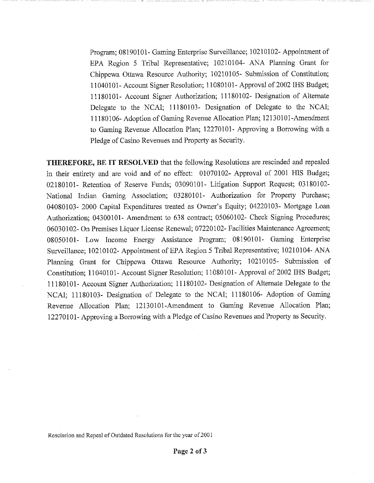Program; 08190101- Gaming Enterprise Surveillance; 10210102- Appointment of EPA Region 5 Tribal Representative; 10210104- ANA Planning Grant for Chippewa Ottawa Resource Authority; 10210105- Submission of Constitution; 11040101- Account Signer Resolution; 11080101- Approval of 2002 IHS Budget; 11180101- Account Signer Authorization; 11180102- Designation of Alternate Delegate to the NCAI; 11180103- Designation of Delegate to the NCAI; 11180106- Adoption of Gaming Revenue Allocation Plan; 12130101-Amendment to Gaming Revenue Allocation Plan; 12270101- Approving a Borrowing with a Pledge of Casino Revenues and Property as Security.

THEREFORE, BE IT RESOLVED that the following Resolutions are rescinded and repealed in their entirety and are void and of no effect: 01070102- Approval of 2001 HIS Budget; 02180101- Retention of Reserve Funds; 03090101- Litigation Support Request; 03180102- National Indian Gaming Association; 03280101- Authorization for Property Purchase; 04080103- 2000 Capital Expenditures treated as Owner's Equity; 04220103- Mortgage Loan Authorization; 04300101- Amendment to 638 contract; 05060102- Check Signing Procedures; 06030102- On Premises Liquor License Renewal; 07220102- Facilities Maintenance Agreement; 08050101- Low Income Energy Assistance Program; 08190101- Gaming Enterprise Surveillance; 10210102- Appointment of EPA Region 5 Tribal Representative; 10210104- ANA Planning Grant for Chippewa Ottawa Resource Authority; 10210105- Submission of Constitution; 11040101- Account Signer Resolution; 11080101- Approval of 2002 IHS Budget; 11180101- Account Signer Authorization; 11180102- Designation of Alternate Delegate to the NCAI; 11180103- Designation of Delegate to the NCAI; 11180106- Adoption of Gaming Revenue Allocation Plan; 12130101-Amendment to Gaming Revenue Allocation Plan; 12270101- Approving a Borrowing with a Pledge of Casino Revenues and Property as Security.

Rescission and Repeal of Outdated Resolutions for the year of 2001